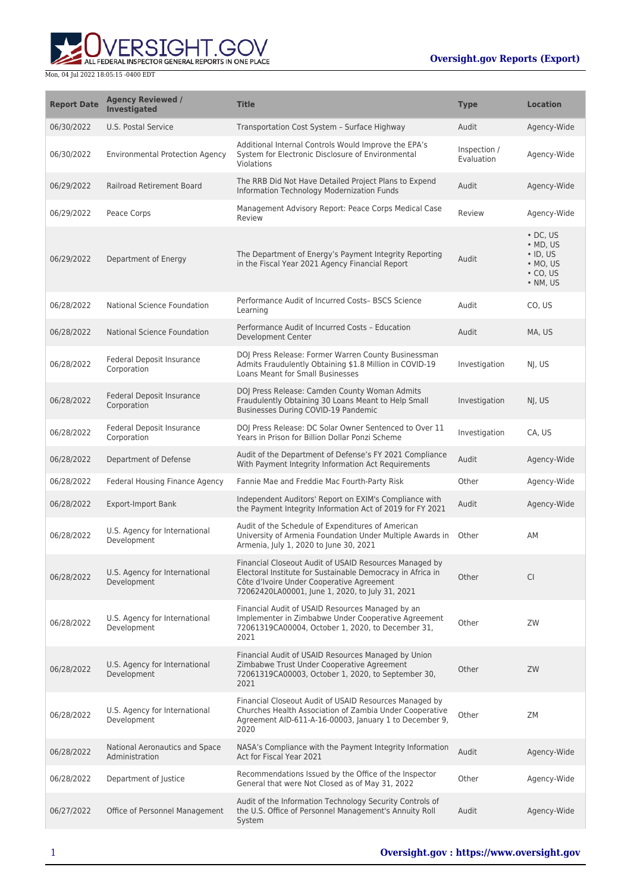ERSIGHT.GOV ALL FEDERAL INSPECTOR GENERAL REPORTS IN ONE PLACE

| <b>Report Date</b> | <b>Agency Reviewed /</b><br><b>Investigated</b>  | <b>Title</b>                                                                                                                                                                                                         | <b>Type</b>                | <b>Location</b>                                                                                        |
|--------------------|--------------------------------------------------|----------------------------------------------------------------------------------------------------------------------------------------------------------------------------------------------------------------------|----------------------------|--------------------------------------------------------------------------------------------------------|
| 06/30/2022         | U.S. Postal Service                              | Transportation Cost System - Surface Highway                                                                                                                                                                         | Audit                      | Agency-Wide                                                                                            |
| 06/30/2022         | <b>Environmental Protection Agency</b>           | Additional Internal Controls Would Improve the EPA's<br>System for Electronic Disclosure of Environmental<br>Violations                                                                                              | Inspection /<br>Evaluation | Agency-Wide                                                                                            |
| 06/29/2022         | <b>Railroad Retirement Board</b>                 | The RRB Did Not Have Detailed Project Plans to Expend<br>Information Technology Modernization Funds                                                                                                                  | Audit                      | Agency-Wide                                                                                            |
| 06/29/2022         | Peace Corps                                      | Management Advisory Report: Peace Corps Medical Case<br>Review                                                                                                                                                       | Review                     | Agency-Wide                                                                                            |
| 06/29/2022         | Department of Energy                             | The Department of Energy's Payment Integrity Reporting<br>in the Fiscal Year 2021 Agency Financial Report                                                                                                            | Audit                      | $\cdot$ DC, US<br>$\bullet$ MD, US<br>$\cdot$ ID, US<br>$\bullet$ MO, US<br>$\cdot$ CO, US<br>• NM, US |
| 06/28/2022         | National Science Foundation                      | Performance Audit of Incurred Costs-BSCS Science<br>Learning                                                                                                                                                         | Audit                      | CO, US                                                                                                 |
| 06/28/2022         | National Science Foundation                      | Performance Audit of Incurred Costs - Education<br>Development Center                                                                                                                                                | Audit                      | MA, US                                                                                                 |
| 06/28/2022         | Federal Deposit Insurance<br>Corporation         | DOJ Press Release: Former Warren County Businessman<br>Admits Fraudulently Obtaining \$1.8 Million in COVID-19<br><b>Loans Meant for Small Businesses</b>                                                            | Investigation              | NJ, US                                                                                                 |
| 06/28/2022         | Federal Deposit Insurance<br>Corporation         | DOJ Press Release: Camden County Woman Admits<br>Fraudulently Obtaining 30 Loans Meant to Help Small<br>Businesses During COVID-19 Pandemic                                                                          | Investigation              | NJ, US                                                                                                 |
| 06/28/2022         | Federal Deposit Insurance<br>Corporation         | DOJ Press Release: DC Solar Owner Sentenced to Over 11<br>Years in Prison for Billion Dollar Ponzi Scheme                                                                                                            | Investigation              | CA, US                                                                                                 |
| 06/28/2022         | Department of Defense                            | Audit of the Department of Defense's FY 2021 Compliance<br>With Payment Integrity Information Act Requirements                                                                                                       | Audit                      | Agency-Wide                                                                                            |
| 06/28/2022         | Federal Housing Finance Agency                   | Fannie Mae and Freddie Mac Fourth-Party Risk                                                                                                                                                                         | Other                      | Agency-Wide                                                                                            |
| 06/28/2022         | <b>Export-Import Bank</b>                        | Independent Auditors' Report on EXIM's Compliance with<br>the Payment Integrity Information Act of 2019 for FY 2021                                                                                                  | Audit                      | Agency-Wide                                                                                            |
| 06/28/2022         | U.S. Agency for International<br>Development     | Audit of the Schedule of Expenditures of American<br>University of Armenia Foundation Under Multiple Awards in<br>Armenia, July 1, 2020 to June 30, 2021                                                             | Other                      | AM                                                                                                     |
| 06/28/2022         | U.S. Agency for International<br>Development     | Financial Closeout Audit of USAID Resources Managed by<br>Electoral Institute for Sustainable Democracy in Africa in<br>Côte d'Ivoire Under Cooperative Agreement<br>72062420LA00001, June 1, 2020, to July 31, 2021 | Other                      | <b>CI</b>                                                                                              |
| 06/28/2022         | U.S. Agency for International<br>Development     | Financial Audit of USAID Resources Managed by an<br>Implementer in Zimbabwe Under Cooperative Agreement<br>72061319CA00004, October 1, 2020, to December 31,<br>2021                                                 | Other                      | ZW                                                                                                     |
| 06/28/2022         | U.S. Agency for International<br>Development     | Financial Audit of USAID Resources Managed by Union<br>Zimbabwe Trust Under Cooperative Agreement<br>72061319CA00003, October 1, 2020, to September 30,<br>2021                                                      | Other                      | ZW                                                                                                     |
| 06/28/2022         | U.S. Agency for International<br>Development     | Financial Closeout Audit of USAID Resources Managed by<br>Churches Health Association of Zambia Under Cooperative<br>Agreement AID-611-A-16-00003, January 1 to December 9,<br>2020                                  | Other                      | ZΜ                                                                                                     |
| 06/28/2022         | National Aeronautics and Space<br>Administration | NASA's Compliance with the Payment Integrity Information<br>Act for Fiscal Year 2021                                                                                                                                 | Audit                      | Agency-Wide                                                                                            |
| 06/28/2022         | Department of Justice                            | Recommendations Issued by the Office of the Inspector<br>General that were Not Closed as of May 31, 2022                                                                                                             | Other                      | Agency-Wide                                                                                            |
| 06/27/2022         | Office of Personnel Management                   | Audit of the Information Technology Security Controls of<br>the U.S. Office of Personnel Management's Annuity Roll<br>System                                                                                         | Audit                      | Agency-Wide                                                                                            |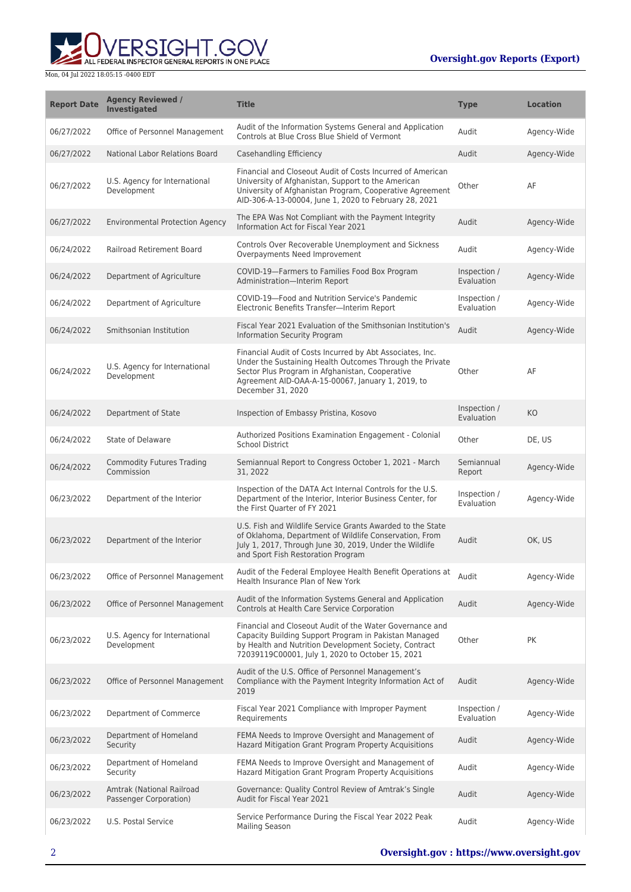ALL FEDERAL INSPECTOR GENERAL REPORTS IN ONE PLACE

| <b>Report Date</b> | <b>Agency Reviewed /</b><br><b>Investigated</b>     | <b>Title</b>                                                                                                                                                                                                                                       | <b>Type</b>                | <b>Location</b> |
|--------------------|-----------------------------------------------------|----------------------------------------------------------------------------------------------------------------------------------------------------------------------------------------------------------------------------------------------------|----------------------------|-----------------|
| 06/27/2022         | Office of Personnel Management                      | Audit of the Information Systems General and Application<br>Controls at Blue Cross Blue Shield of Vermont                                                                                                                                          | Audit                      | Agency-Wide     |
| 06/27/2022         | National Labor Relations Board                      | Casehandling Efficiency                                                                                                                                                                                                                            | Audit                      | Agency-Wide     |
| 06/27/2022         | U.S. Agency for International<br>Development        | Financial and Closeout Audit of Costs Incurred of American<br>University of Afghanistan, Support to the American<br>University of Afghanistan Program, Cooperative Agreement<br>AID-306-A-13-00004, June 1, 2020 to February 28, 2021              | Other                      | AF              |
| 06/27/2022         | <b>Environmental Protection Agency</b>              | The EPA Was Not Compliant with the Payment Integrity<br>Information Act for Fiscal Year 2021                                                                                                                                                       | Audit                      | Agency-Wide     |
| 06/24/2022         | <b>Railroad Retirement Board</b>                    | Controls Over Recoverable Unemployment and Sickness<br>Overpayments Need Improvement                                                                                                                                                               | Audit                      | Agency-Wide     |
| 06/24/2022         | Department of Agriculture                           | COVID-19-Farmers to Families Food Box Program<br>Administration-Interim Report                                                                                                                                                                     | Inspection /<br>Evaluation | Agency-Wide     |
| 06/24/2022         | Department of Agriculture                           | COVID-19-Food and Nutrition Service's Pandemic<br>Electronic Benefits Transfer-Interim Report                                                                                                                                                      | Inspection /<br>Evaluation | Agency-Wide     |
| 06/24/2022         | Smithsonian Institution                             | Fiscal Year 2021 Evaluation of the Smithsonian Institution's<br>Information Security Program                                                                                                                                                       | Audit                      | Agency-Wide     |
| 06/24/2022         | U.S. Agency for International<br>Development        | Financial Audit of Costs Incurred by Abt Associates, Inc.<br>Under the Sustaining Health Outcomes Through the Private<br>Sector Plus Program in Afghanistan, Cooperative<br>Agreement AID-OAA-A-15-00067, January 1, 2019, to<br>December 31, 2020 | Other                      | AF              |
| 06/24/2022         | Department of State                                 | Inspection of Embassy Pristina, Kosovo                                                                                                                                                                                                             | Inspection /<br>Evaluation | KO              |
| 06/24/2022         | <b>State of Delaware</b>                            | Authorized Positions Examination Engagement - Colonial<br><b>School District</b>                                                                                                                                                                   | Other                      | DE, US          |
| 06/24/2022         | <b>Commodity Futures Trading</b><br>Commission      | Semiannual Report to Congress October 1, 2021 - March<br>31, 2022                                                                                                                                                                                  | Semiannual<br>Report       | Agency-Wide     |
| 06/23/2022         | Department of the Interior                          | Inspection of the DATA Act Internal Controls for the U.S.<br>Department of the Interior, Interior Business Center, for<br>the First Quarter of FY 2021                                                                                             | Inspection /<br>Evaluation | Agency-Wide     |
| 06/23/2022         | Department of the Interior                          | U.S. Fish and Wildlife Service Grants Awarded to the State<br>of Oklahoma, Department of Wildlife Conservation, From<br>July 1, 2017, Through June 30, 2019, Under the Wildlife<br>and Sport Fish Restoration Program                              | Audit                      | OK, US          |
| 06/23/2022         | Office of Personnel Management                      | Audit of the Federal Employee Health Benefit Operations at<br>Health Insurance Plan of New York                                                                                                                                                    | Audit                      | Agency-Wide     |
| 06/23/2022         | Office of Personnel Management                      | Audit of the Information Systems General and Application<br>Controls at Health Care Service Corporation                                                                                                                                            | Audit                      | Agency-Wide     |
| 06/23/2022         | U.S. Agency for International<br>Development        | Financial and Closeout Audit of the Water Governance and<br>Capacity Building Support Program in Pakistan Managed<br>by Health and Nutrition Development Society, Contract<br>72039119C00001, July 1, 2020 to October 15, 2021                     | Other                      | PK              |
| 06/23/2022         | Office of Personnel Management                      | Audit of the U.S. Office of Personnel Management's<br>Compliance with the Payment Integrity Information Act of<br>2019                                                                                                                             | Audit                      | Agency-Wide     |
| 06/23/2022         | Department of Commerce                              | Fiscal Year 2021 Compliance with Improper Payment<br>Requirements                                                                                                                                                                                  | Inspection /<br>Evaluation | Agency-Wide     |
| 06/23/2022         | Department of Homeland<br><b>Security</b>           | FEMA Needs to Improve Oversight and Management of<br>Hazard Mitigation Grant Program Property Acquisitions                                                                                                                                         | Audit                      | Agency-Wide     |
| 06/23/2022         | Department of Homeland<br>Security                  | FEMA Needs to Improve Oversight and Management of<br>Hazard Mitigation Grant Program Property Acquisitions                                                                                                                                         | Audit                      | Agency-Wide     |
| 06/23/2022         | Amtrak (National Railroad<br>Passenger Corporation) | Governance: Quality Control Review of Amtrak's Single<br>Audit for Fiscal Year 2021                                                                                                                                                                | Audit                      | Agency-Wide     |
| 06/23/2022         | U.S. Postal Service                                 | Service Performance During the Fiscal Year 2022 Peak<br><b>Mailing Season</b>                                                                                                                                                                      | Audit                      | Agency-Wide     |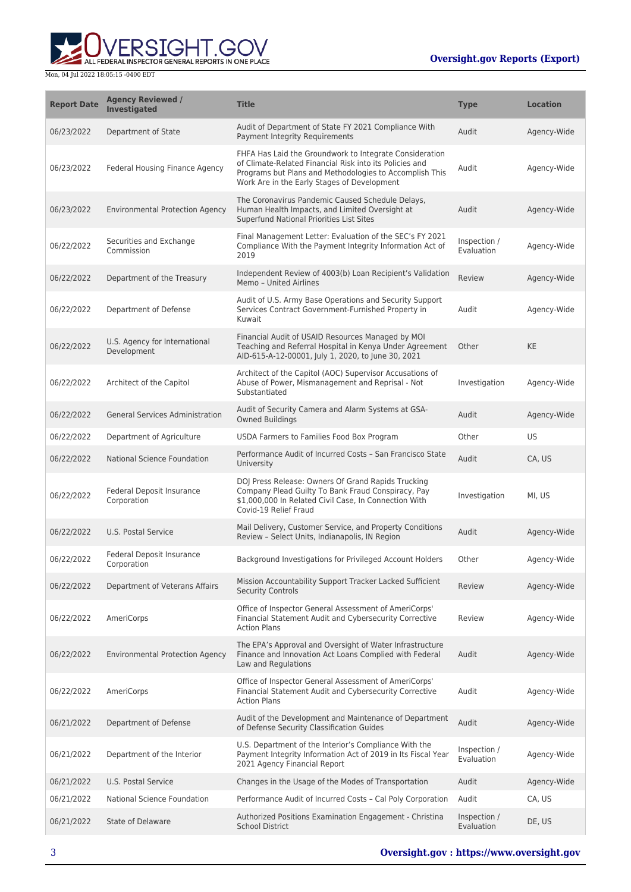

| <b>Report Date</b> | <b>Agency Reviewed /</b><br><b>Investigated</b> | <b>Title</b>                                                                                                                                                                                                                 | <b>Type</b>                | <b>Location</b> |
|--------------------|-------------------------------------------------|------------------------------------------------------------------------------------------------------------------------------------------------------------------------------------------------------------------------------|----------------------------|-----------------|
| 06/23/2022         | Department of State                             | Audit of Department of State FY 2021 Compliance With<br>Payment Integrity Requirements                                                                                                                                       | Audit                      | Agency-Wide     |
| 06/23/2022         | Federal Housing Finance Agency                  | FHFA Has Laid the Groundwork to Integrate Consideration<br>of Climate-Related Financial Risk into its Policies and<br>Programs but Plans and Methodologies to Accomplish This<br>Work Are in the Early Stages of Development | Audit                      | Agency-Wide     |
| 06/23/2022         | <b>Environmental Protection Agency</b>          | The Coronavirus Pandemic Caused Schedule Delays,<br>Human Health Impacts, and Limited Oversight at<br>Superfund National Priorities List Sites                                                                               | Audit                      | Agency-Wide     |
| 06/22/2022         | Securities and Exchange<br>Commission           | Final Management Letter: Evaluation of the SEC's FY 2021<br>Compliance With the Payment Integrity Information Act of<br>2019                                                                                                 | Inspection /<br>Evaluation | Agency-Wide     |
| 06/22/2022         | Department of the Treasury                      | Independent Review of 4003(b) Loan Recipient's Validation<br>Memo - United Airlines                                                                                                                                          | Review                     | Agency-Wide     |
| 06/22/2022         | Department of Defense                           | Audit of U.S. Army Base Operations and Security Support<br>Services Contract Government-Furnished Property in<br>Kuwait                                                                                                      | Audit                      | Agency-Wide     |
| 06/22/2022         | U.S. Agency for International<br>Development    | Financial Audit of USAID Resources Managed by MOI<br>Teaching and Referral Hospital in Kenya Under Agreement<br>AID-615-A-12-00001, July 1, 2020, to June 30, 2021                                                           | Other                      | <b>KE</b>       |
| 06/22/2022         | Architect of the Capitol                        | Architect of the Capitol (AOC) Supervisor Accusations of<br>Abuse of Power, Mismanagement and Reprisal - Not<br>Substantiated                                                                                                | Investigation              | Agency-Wide     |
| 06/22/2022         | <b>General Services Administration</b>          | Audit of Security Camera and Alarm Systems at GSA-<br><b>Owned Buildings</b>                                                                                                                                                 | Audit                      | Agency-Wide     |
| 06/22/2022         | Department of Agriculture                       | USDA Farmers to Families Food Box Program                                                                                                                                                                                    | Other                      | <b>US</b>       |
| 06/22/2022         | National Science Foundation                     | Performance Audit of Incurred Costs - San Francisco State<br>University                                                                                                                                                      | Audit                      | CA, US          |
| 06/22/2022         | Federal Deposit Insurance<br>Corporation        | DOJ Press Release: Owners Of Grand Rapids Trucking<br>Company Plead Guilty To Bank Fraud Conspiracy, Pay<br>\$1,000,000 In Related Civil Case, In Connection With<br>Covid-19 Relief Fraud                                   | Investigation              | MI, US          |
| 06/22/2022         | U.S. Postal Service                             | Mail Delivery, Customer Service, and Property Conditions<br>Review - Select Units, Indianapolis, IN Region                                                                                                                   | Audit                      | Agency-Wide     |
| 06/22/2022         | Federal Deposit Insurance<br>Corporation        | Background Investigations for Privileged Account Holders                                                                                                                                                                     | Other                      | Agency-Wide     |
| 06/22/2022         | Department of Veterans Affairs                  | Mission Accountability Support Tracker Lacked Sufficient<br><b>Security Controls</b>                                                                                                                                         | Review                     | Agency-Wide     |
| 06/22/2022         | AmeriCorps                                      | Office of Inspector General Assessment of AmeriCorps'<br>Financial Statement Audit and Cybersecurity Corrective<br><b>Action Plans</b>                                                                                       | Review                     | Agency-Wide     |
| 06/22/2022         | <b>Environmental Protection Agency</b>          | The EPA's Approval and Oversight of Water Infrastructure<br>Finance and Innovation Act Loans Complied with Federal<br>Law and Regulations                                                                                    | Audit                      | Agency-Wide     |
| 06/22/2022         | AmeriCorps                                      | Office of Inspector General Assessment of AmeriCorps'<br>Financial Statement Audit and Cybersecurity Corrective<br><b>Action Plans</b>                                                                                       | Audit                      | Agency-Wide     |
| 06/21/2022         | Department of Defense                           | Audit of the Development and Maintenance of Department<br>of Defense Security Classification Guides                                                                                                                          | Audit                      | Agency-Wide     |
| 06/21/2022         | Department of the Interior                      | U.S. Department of the Interior's Compliance With the<br>Payment Integrity Information Act of 2019 in Its Fiscal Year<br>2021 Agency Financial Report                                                                        | Inspection /<br>Evaluation | Agency-Wide     |
| 06/21/2022         | U.S. Postal Service                             | Changes in the Usage of the Modes of Transportation                                                                                                                                                                          | Audit                      | Agency-Wide     |
| 06/21/2022         | National Science Foundation                     | Performance Audit of Incurred Costs - Cal Poly Corporation                                                                                                                                                                   | Audit                      | CA, US          |
| 06/21/2022         | <b>State of Delaware</b>                        | Authorized Positions Examination Engagement - Christina<br><b>School District</b>                                                                                                                                            | Inspection /<br>Evaluation | DE, US          |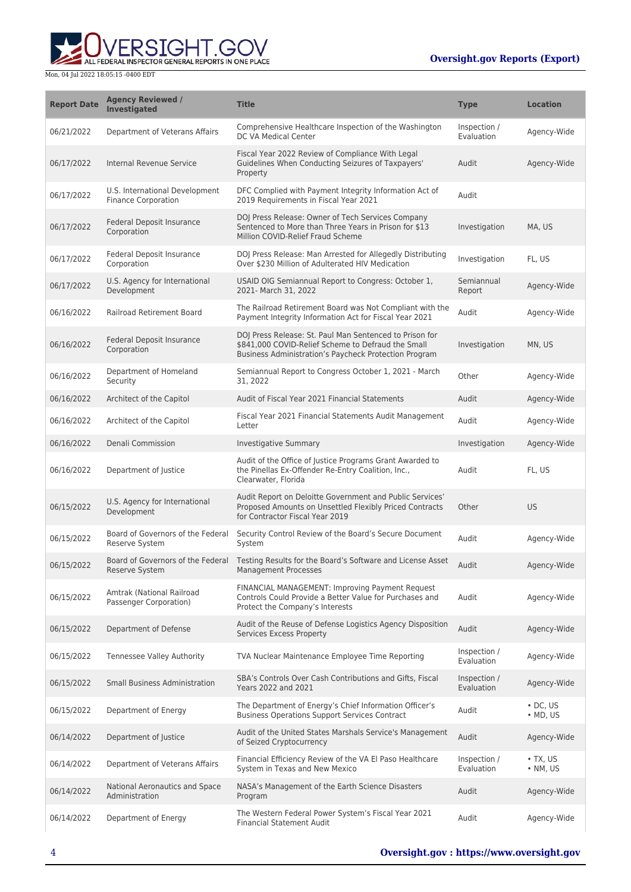**WERSIGHT.GOV** 

| <b>Report Date</b> | <b>Agency Reviewed /</b><br><b>Investigated</b>              | <b>Title</b>                                                                                                                                                           | <b>Type</b>                | <b>Location</b>                      |
|--------------------|--------------------------------------------------------------|------------------------------------------------------------------------------------------------------------------------------------------------------------------------|----------------------------|--------------------------------------|
| 06/21/2022         | Department of Veterans Affairs                               | Comprehensive Healthcare Inspection of the Washington<br>DC VA Medical Center                                                                                          | Inspection /<br>Evaluation | Agency-Wide                          |
| 06/17/2022         | Internal Revenue Service                                     | Fiscal Year 2022 Review of Compliance With Legal<br>Guidelines When Conducting Seizures of Taxpayers'<br>Property                                                      | Audit                      | Agency-Wide                          |
| 06/17/2022         | U.S. International Development<br><b>Finance Corporation</b> | DFC Complied with Payment Integrity Information Act of<br>2019 Requirements in Fiscal Year 2021                                                                        | Audit                      |                                      |
| 06/17/2022         | Federal Deposit Insurance<br>Corporation                     | DOJ Press Release: Owner of Tech Services Company<br>Sentenced to More than Three Years in Prison for \$13<br>Million COVID-Relief Fraud Scheme                        | Investigation              | MA, US                               |
| 06/17/2022         | Federal Deposit Insurance<br>Corporation                     | DOJ Press Release: Man Arrested for Allegedly Distributing<br>Over \$230 Million of Adulterated HIV Medication                                                         | Investigation              | FL, US                               |
| 06/17/2022         | U.S. Agency for International<br>Development                 | USAID OIG Semiannual Report to Congress: October 1,<br>2021- March 31, 2022                                                                                            | Semiannual<br>Report       | Agency-Wide                          |
| 06/16/2022         | Railroad Retirement Board                                    | The Railroad Retirement Board was Not Compliant with the<br>Payment Integrity Information Act for Fiscal Year 2021                                                     | Audit                      | Agency-Wide                          |
| 06/16/2022         | Federal Deposit Insurance<br>Corporation                     | DOJ Press Release: St. Paul Man Sentenced to Prison for<br>\$841,000 COVID-Relief Scheme to Defraud the Small<br>Business Administration's Paycheck Protection Program | Investigation              | MN, US                               |
| 06/16/2022         | Department of Homeland<br>Security                           | Semiannual Report to Congress October 1, 2021 - March<br>31, 2022                                                                                                      | Other                      | Agency-Wide                          |
| 06/16/2022         | Architect of the Capitol                                     | Audit of Fiscal Year 2021 Financial Statements                                                                                                                         | Audit                      | Agency-Wide                          |
| 06/16/2022         | Architect of the Capitol                                     | Fiscal Year 2021 Financial Statements Audit Management<br>Letter                                                                                                       | Audit                      | Agency-Wide                          |
| 06/16/2022         | Denali Commission                                            | Investigative Summary                                                                                                                                                  | Investigation              | Agency-Wide                          |
| 06/16/2022         | Department of Justice                                        | Audit of the Office of Justice Programs Grant Awarded to<br>the Pinellas Ex-Offender Re-Entry Coalition, Inc.,<br>Clearwater, Florida                                  | Audit                      | FL, US                               |
| 06/15/2022         | U.S. Agency for International<br>Development                 | Audit Report on Deloitte Government and Public Services'<br>Proposed Amounts on Unsettled Flexibly Priced Contracts<br>for Contractor Fiscal Year 2019                 | Other                      | US                                   |
| 06/15/2022         | Board of Governors of the Federal<br>Reserve System          | Security Control Review of the Board's Secure Document<br>System                                                                                                       | Audit                      | Agency-Wide                          |
| 06/15/2022         | Board of Governors of the Federal<br>Reserve System          | Testing Results for the Board's Software and License Asset<br><b>Management Processes</b>                                                                              | Audit                      | Agency-Wide                          |
| 06/15/2022         | Amtrak (National Railroad<br>Passenger Corporation)          | FINANCIAL MANAGEMENT: Improving Payment Request<br>Controls Could Provide a Better Value for Purchases and<br>Protect the Company's Interests                          | Audit                      | Agency-Wide                          |
| 06/15/2022         | Department of Defense                                        | Audit of the Reuse of Defense Logistics Agency Disposition<br>Services Excess Property                                                                                 | Audit                      | Agency-Wide                          |
| 06/15/2022         | Tennessee Valley Authority                                   | TVA Nuclear Maintenance Employee Time Reporting                                                                                                                        | Inspection /<br>Evaluation | Agency-Wide                          |
| 06/15/2022         | <b>Small Business Administration</b>                         | SBA's Controls Over Cash Contributions and Gifts, Fiscal<br>Years 2022 and 2021                                                                                        | Inspection /<br>Evaluation | Agency-Wide                          |
| 06/15/2022         | Department of Energy                                         | The Department of Energy's Chief Information Officer's<br><b>Business Operations Support Services Contract</b>                                                         | Audit                      | $\cdot$ DC, US<br>$\bullet$ MD, US   |
| 06/14/2022         | Department of Justice                                        | Audit of the United States Marshals Service's Management<br>of Seized Cryptocurrency                                                                                   | Audit                      | Agency-Wide                          |
| 06/14/2022         | Department of Veterans Affairs                               | Financial Efficiency Review of the VA El Paso Healthcare<br>System in Texas and New Mexico                                                                             | Inspection /<br>Evaluation | $\bullet$ TX, US<br>$\bullet$ NM, US |
| 06/14/2022         | National Aeronautics and Space<br>Administration             | NASA's Management of the Earth Science Disasters<br>Program                                                                                                            | Audit                      | Agency-Wide                          |
| 06/14/2022         | Department of Energy                                         | The Western Federal Power System's Fiscal Year 2021<br><b>Financial Statement Audit</b>                                                                                | Audit                      | Agency-Wide                          |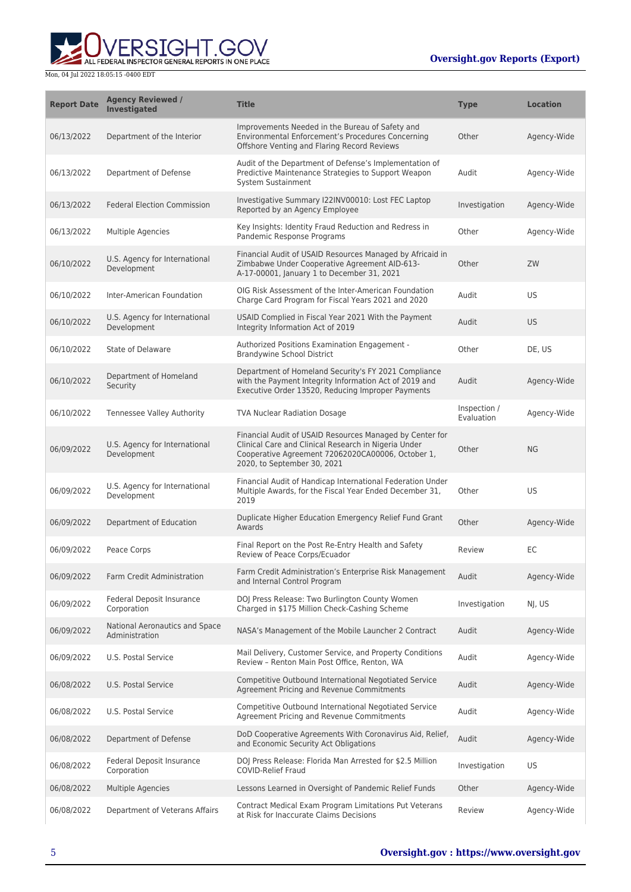

| <b>Report Date</b> | <b>Agency Reviewed /</b><br><b>Investigated</b>  | <b>Title</b>                                                                                                                                                                                         | <b>Type</b>                | <b>Location</b> |
|--------------------|--------------------------------------------------|------------------------------------------------------------------------------------------------------------------------------------------------------------------------------------------------------|----------------------------|-----------------|
| 06/13/2022         | Department of the Interior                       | Improvements Needed in the Bureau of Safety and<br>Environmental Enforcement's Procedures Concerning<br>Offshore Venting and Flaring Record Reviews                                                  | Other                      | Agency-Wide     |
| 06/13/2022         | Department of Defense                            | Audit of the Department of Defense's Implementation of<br>Predictive Maintenance Strategies to Support Weapon<br>System Sustainment                                                                  | Audit                      | Agency-Wide     |
| 06/13/2022         | <b>Federal Election Commission</b>               | Investigative Summary I22INV00010: Lost FEC Laptop<br>Reported by an Agency Employee                                                                                                                 | Investigation              | Agency-Wide     |
| 06/13/2022         | Multiple Agencies                                | Key Insights: Identity Fraud Reduction and Redress in<br>Pandemic Response Programs                                                                                                                  | Other                      | Agency-Wide     |
| 06/10/2022         | U.S. Agency for International<br>Development     | Financial Audit of USAID Resources Managed by Africaid in<br>Zimbabwe Under Cooperative Agreement AID-613-<br>A-17-00001, January 1 to December 31, 2021                                             | Other                      | ZW              |
| 06/10/2022         | Inter-American Foundation                        | OIG Risk Assessment of the Inter-American Foundation<br>Charge Card Program for Fiscal Years 2021 and 2020                                                                                           | Audit                      | <b>US</b>       |
| 06/10/2022         | U.S. Agency for International<br>Development     | USAID Complied in Fiscal Year 2021 With the Payment<br>Integrity Information Act of 2019                                                                                                             | Audit                      | US.             |
| 06/10/2022         | State of Delaware                                | Authorized Positions Examination Engagement -<br>Brandywine School District                                                                                                                          | Other                      | DE, US          |
| 06/10/2022         | Department of Homeland<br>Security               | Department of Homeland Security's FY 2021 Compliance<br>with the Payment Integrity Information Act of 2019 and<br>Executive Order 13520, Reducing Improper Payments                                  | Audit                      | Agency-Wide     |
| 06/10/2022         | Tennessee Valley Authority                       | <b>TVA Nuclear Radiation Dosage</b>                                                                                                                                                                  | Inspection /<br>Evaluation | Agency-Wide     |
| 06/09/2022         | U.S. Agency for International<br>Development     | Financial Audit of USAID Resources Managed by Center for<br>Clinical Care and Clinical Research in Nigeria Under<br>Cooperative Agreement 72062020CA00006, October 1,<br>2020, to September 30, 2021 | Other                      | <b>NG</b>       |
| 06/09/2022         | U.S. Agency for International<br>Development     | Financial Audit of Handicap International Federation Under<br>Multiple Awards, for the Fiscal Year Ended December 31,<br>2019                                                                        | Other                      | <b>US</b>       |
| 06/09/2022         | Department of Education                          | Duplicate Higher Education Emergency Relief Fund Grant<br>Awards                                                                                                                                     | Other                      | Agency-Wide     |
| 06/09/2022         | Peace Corps                                      | Final Report on the Post Re-Entry Health and Safety<br>Review of Peace Corps/Ecuador                                                                                                                 | Review                     | ЕC              |
| 06/09/2022         | Farm Credit Administration                       | Farm Credit Administration's Enterprise Risk Management<br>and Internal Control Program                                                                                                              | Audit                      | Agency-Wide     |
| 06/09/2022         | Federal Deposit Insurance<br>Corporation         | DOJ Press Release: Two Burlington County Women<br>Charged in \$175 Million Check-Cashing Scheme                                                                                                      | Investigation              | NJ, US          |
| 06/09/2022         | National Aeronautics and Space<br>Administration | NASA's Management of the Mobile Launcher 2 Contract                                                                                                                                                  | Audit                      | Agency-Wide     |
| 06/09/2022         | U.S. Postal Service                              | Mail Delivery, Customer Service, and Property Conditions<br>Review - Renton Main Post Office, Renton, WA                                                                                             | Audit                      | Agency-Wide     |
| 06/08/2022         | U.S. Postal Service                              | Competitive Outbound International Negotiated Service<br>Agreement Pricing and Revenue Commitments                                                                                                   | Audit                      | Agency-Wide     |
| 06/08/2022         | U.S. Postal Service                              | Competitive Outbound International Negotiated Service<br>Agreement Pricing and Revenue Commitments                                                                                                   | Audit                      | Agency-Wide     |
| 06/08/2022         | Department of Defense                            | DoD Cooperative Agreements With Coronavirus Aid, Relief,<br>and Economic Security Act Obligations                                                                                                    | Audit                      | Agency-Wide     |
| 06/08/2022         | Federal Deposit Insurance<br>Corporation         | DOJ Press Release: Florida Man Arrested for \$2.5 Million<br><b>COVID-Relief Fraud</b>                                                                                                               | Investigation              | US              |
| 06/08/2022         | <b>Multiple Agencies</b>                         | Lessons Learned in Oversight of Pandemic Relief Funds                                                                                                                                                | Other                      | Agency-Wide     |
| 06/08/2022         | Department of Veterans Affairs                   | Contract Medical Exam Program Limitations Put Veterans<br>at Risk for Inaccurate Claims Decisions                                                                                                    | Review                     | Agency-Wide     |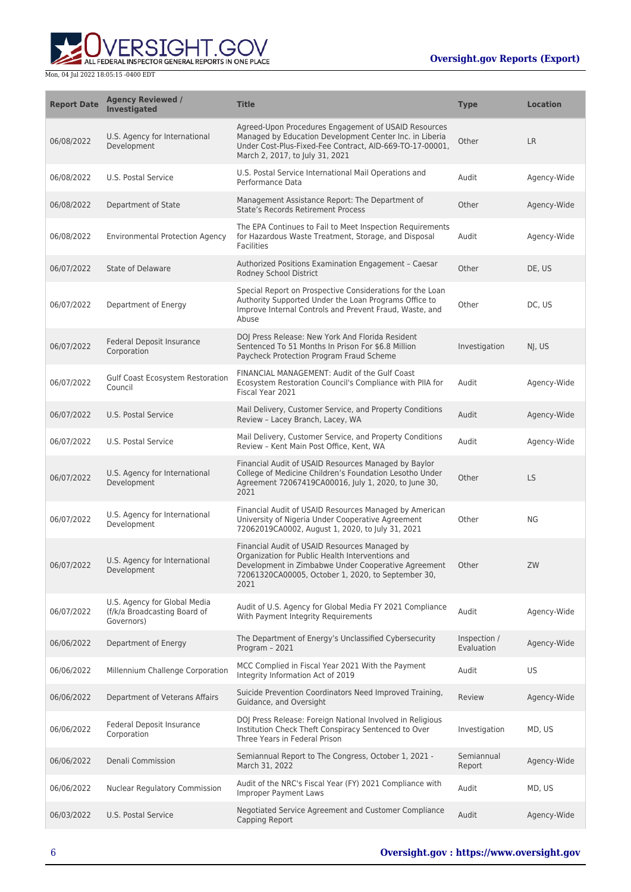ALL FEDERAL INSPECTOR GENERAL REPORTS IN ONE PLACE

| <b>Report Date</b> | <b>Agency Reviewed /</b><br><b>Investigated</b>                            | <b>Title</b>                                                                                                                                                                                                           | <b>Type</b>                | <b>Location</b> |
|--------------------|----------------------------------------------------------------------------|------------------------------------------------------------------------------------------------------------------------------------------------------------------------------------------------------------------------|----------------------------|-----------------|
| 06/08/2022         | U.S. Agency for International<br>Development                               | Agreed-Upon Procedures Engagement of USAID Resources<br>Managed by Education Development Center Inc. in Liberia<br>Under Cost-Plus-Fixed-Fee Contract, AID-669-TO-17-00001,<br>March 2, 2017, to July 31, 2021         | Other                      | <b>LR</b>       |
| 06/08/2022         | U.S. Postal Service                                                        | U.S. Postal Service International Mail Operations and<br>Performance Data                                                                                                                                              | Audit                      | Agency-Wide     |
| 06/08/2022         | Department of State                                                        | Management Assistance Report: The Department of<br><b>State's Records Retirement Process</b>                                                                                                                           | Other                      | Agency-Wide     |
| 06/08/2022         | <b>Environmental Protection Agency</b>                                     | The EPA Continues to Fail to Meet Inspection Requirements<br>for Hazardous Waste Treatment, Storage, and Disposal<br><b>Facilities</b>                                                                                 | Audit                      | Agency-Wide     |
| 06/07/2022         | State of Delaware                                                          | Authorized Positions Examination Engagement - Caesar<br>Rodney School District                                                                                                                                         | Other                      | DE, US          |
| 06/07/2022         | Department of Energy                                                       | Special Report on Prospective Considerations for the Loan<br>Authority Supported Under the Loan Programs Office to<br>Improve Internal Controls and Prevent Fraud, Waste, and<br>Abuse                                 | Other                      | DC, US          |
| 06/07/2022         | Federal Deposit Insurance<br>Corporation                                   | DOJ Press Release: New York And Florida Resident<br>Sentenced To 51 Months In Prison For \$6.8 Million<br>Paycheck Protection Program Fraud Scheme                                                                     | Investigation              | NJ, US          |
| 06/07/2022         | Gulf Coast Ecosystem Restoration<br>Council                                | FINANCIAL MANAGEMENT: Audit of the Gulf Coast<br>Ecosystem Restoration Council's Compliance with PIIA for<br>Fiscal Year 2021                                                                                          | Audit                      | Agency-Wide     |
| 06/07/2022         | U.S. Postal Service                                                        | Mail Delivery, Customer Service, and Property Conditions<br>Review - Lacey Branch, Lacey, WA                                                                                                                           | Audit                      | Agency-Wide     |
| 06/07/2022         | U.S. Postal Service                                                        | Mail Delivery, Customer Service, and Property Conditions<br>Review - Kent Main Post Office, Kent, WA                                                                                                                   | Audit                      | Agency-Wide     |
| 06/07/2022         | U.S. Agency for International<br>Development                               | Financial Audit of USAID Resources Managed by Baylor<br>College of Medicine Children's Foundation Lesotho Under<br>Agreement 72067419CA00016, July 1, 2020, to June 30,<br>2021                                        | Other                      | <b>LS</b>       |
| 06/07/2022         | U.S. Agency for International<br>Development                               | Financial Audit of USAID Resources Managed by American<br>University of Nigeria Under Cooperative Agreement<br>72062019CA0002, August 1, 2020, to July 31, 2021                                                        | Other                      | NG              |
| 06/07/2022         | U.S. Agency for International<br>Development                               | Financial Audit of USAID Resources Managed by<br>Organization for Public Health Interventions and<br>Development in Zimbabwe Under Cooperative Agreement<br>72061320CA00005, October 1, 2020, to September 30,<br>2021 | Other                      | ZW              |
| 06/07/2022         | U.S. Agency for Global Media<br>(f/k/a Broadcasting Board of<br>Governors) | Audit of U.S. Agency for Global Media FY 2021 Compliance<br>With Payment Integrity Reguirements                                                                                                                        | Audit                      | Agency-Wide     |
| 06/06/2022         | Department of Energy                                                       | The Department of Energy's Unclassified Cybersecurity<br>Program - 2021                                                                                                                                                | Inspection /<br>Evaluation | Agency-Wide     |
| 06/06/2022         | Millennium Challenge Corporation                                           | MCC Complied in Fiscal Year 2021 With the Payment<br>Integrity Information Act of 2019                                                                                                                                 | Audit                      | US.             |
| 06/06/2022         | Department of Veterans Affairs                                             | Suicide Prevention Coordinators Need Improved Training,<br>Guidance, and Oversight                                                                                                                                     | Review                     | Agency-Wide     |
| 06/06/2022         | Federal Deposit Insurance<br>Corporation                                   | DOJ Press Release: Foreign National Involved in Religious<br>Institution Check Theft Conspiracy Sentenced to Over<br>Three Years in Federal Prison                                                                     | Investigation              | MD, US          |
| 06/06/2022         | Denali Commission                                                          | Semiannual Report to The Congress, October 1, 2021 -<br>March 31, 2022                                                                                                                                                 | Semiannual<br>Report       | Agency-Wide     |
| 06/06/2022         | Nuclear Regulatory Commission                                              | Audit of the NRC's Fiscal Year (FY) 2021 Compliance with<br><b>Improper Payment Laws</b>                                                                                                                               | Audit                      | MD, US          |
| 06/03/2022         | U.S. Postal Service                                                        | Negotiated Service Agreement and Customer Compliance<br>Capping Report                                                                                                                                                 | Audit                      | Agency-Wide     |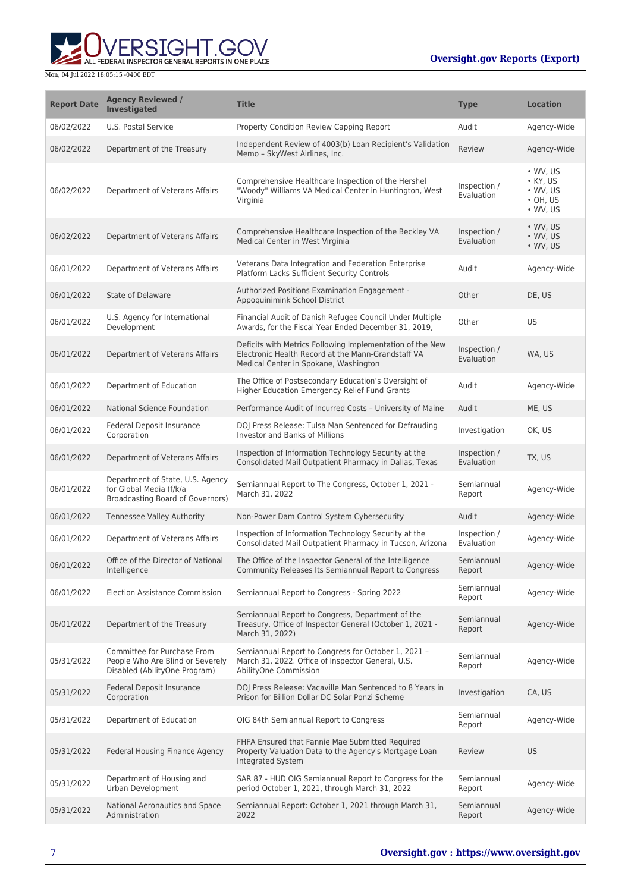**WERSIGHT.GOV** 

| <b>Report Date</b> | <b>Agency Reviewed /</b><br>Investigated                                                               | <b>Title</b>                                                                                                                                             | <b>Type</b>                | <b>Location</b>                                                                          |
|--------------------|--------------------------------------------------------------------------------------------------------|----------------------------------------------------------------------------------------------------------------------------------------------------------|----------------------------|------------------------------------------------------------------------------------------|
| 06/02/2022         | U.S. Postal Service                                                                                    | Property Condition Review Capping Report                                                                                                                 | Audit                      | Agency-Wide                                                                              |
| 06/02/2022         | Department of the Treasury                                                                             | Independent Review of 4003(b) Loan Recipient's Validation<br>Memo - SkyWest Airlines, Inc.                                                               | Review                     | Agency-Wide                                                                              |
| 06/02/2022         | Department of Veterans Affairs                                                                         | Comprehensive Healthcare Inspection of the Hershel<br>"Woody" Williams VA Medical Center in Huntington, West<br>Virginia                                 | Inspection /<br>Evaluation | $\cdot$ WV, US<br>$\bullet$ KY, US<br>$\cdot$ WV, US<br>$\cdot$ OH, US<br>$\cdot$ WV, US |
| 06/02/2022         | Department of Veterans Affairs                                                                         | Comprehensive Healthcare Inspection of the Beckley VA<br>Medical Center in West Virginia                                                                 | Inspection /<br>Evaluation | • WV, US<br>$\bullet$ WV, US<br>$\bullet$ WV, US                                         |
| 06/01/2022         | Department of Veterans Affairs                                                                         | Veterans Data Integration and Federation Enterprise<br>Platform Lacks Sufficient Security Controls                                                       | Audit                      | Agency-Wide                                                                              |
| 06/01/2022         | State of Delaware                                                                                      | Authorized Positions Examination Engagement -<br>Appoquinimink School District                                                                           | Other                      | DE, US                                                                                   |
| 06/01/2022         | U.S. Agency for International<br>Development                                                           | Financial Audit of Danish Refugee Council Under Multiple<br>Awards, for the Fiscal Year Ended December 31, 2019,                                         | Other                      | <b>US</b>                                                                                |
| 06/01/2022         | Department of Veterans Affairs                                                                         | Deficits with Metrics Following Implementation of the New<br>Electronic Health Record at the Mann-Grandstaff VA<br>Medical Center in Spokane, Washington | Inspection /<br>Evaluation | WA, US                                                                                   |
| 06/01/2022         | Department of Education                                                                                | The Office of Postsecondary Education's Oversight of<br>Higher Education Emergency Relief Fund Grants                                                    | Audit                      | Agency-Wide                                                                              |
| 06/01/2022         | National Science Foundation                                                                            | Performance Audit of Incurred Costs - University of Maine                                                                                                | Audit                      | ME, US                                                                                   |
| 06/01/2022         | Federal Deposit Insurance<br>Corporation                                                               | DOJ Press Release: Tulsa Man Sentenced for Defrauding<br><b>Investor and Banks of Millions</b>                                                           | Investigation              | OK, US                                                                                   |
| 06/01/2022         | Department of Veterans Affairs                                                                         | Inspection of Information Technology Security at the<br>Consolidated Mail Outpatient Pharmacy in Dallas, Texas                                           | Inspection /<br>Evaluation | TX, US                                                                                   |
| 06/01/2022         | Department of State, U.S. Agency<br>for Global Media (f/k/a<br><b>Broadcasting Board of Governors)</b> | Semiannual Report to The Congress, October 1, 2021 -<br>March 31, 2022                                                                                   | Semiannual<br>Report       | Agency-Wide                                                                              |
| 06/01/2022         | Tennessee Valley Authority                                                                             | Non-Power Dam Control System Cybersecurity                                                                                                               | Audit                      | Agency-Wide                                                                              |
| 06/01/2022         | Department of Veterans Affairs                                                                         | Inspection of Information Technology Security at the<br>Consolidated Mail Outpatient Pharmacy in Tucson, Arizona                                         | Inspection /<br>Evaluation | Agency-Wide                                                                              |
| 06/01/2022         | Office of the Director of National<br>Intelligence                                                     | The Office of the Inspector General of the Intelligence<br>Community Releases Its Semiannual Report to Congress                                          | Semiannual<br>Report       | Agency-Wide                                                                              |
| 06/01/2022         | Election Assistance Commission                                                                         | Semiannual Report to Congress - Spring 2022                                                                                                              | Semiannual<br>Report       | Agency-Wide                                                                              |
| 06/01/2022         | Department of the Treasury                                                                             | Semiannual Report to Congress, Department of the<br>Treasury, Office of Inspector General (October 1, 2021 -<br>March 31, 2022)                          | Semiannual<br>Report       | Agency-Wide                                                                              |
| 05/31/2022         | Committee for Purchase From<br>People Who Are Blind or Severely<br>Disabled (AbilityOne Program)       | Semiannual Report to Congress for October 1, 2021 -<br>March 31, 2022. Office of Inspector General, U.S.<br>AbilityOne Commission                        | Semiannual<br>Report       | Agency-Wide                                                                              |
| 05/31/2022         | Federal Deposit Insurance<br>Corporation                                                               | DOJ Press Release: Vacaville Man Sentenced to 8 Years in<br>Prison for Billion Dollar DC Solar Ponzi Scheme                                              | Investigation              | CA, US                                                                                   |
| 05/31/2022         | Department of Education                                                                                | OIG 84th Semiannual Report to Congress                                                                                                                   | Semiannual<br>Report       | Agency-Wide                                                                              |
| 05/31/2022         | Federal Housing Finance Agency                                                                         | FHFA Ensured that Fannie Mae Submitted Required<br>Property Valuation Data to the Agency's Mortgage Loan<br>Integrated System                            | Review                     | US                                                                                       |
| 05/31/2022         | Department of Housing and<br>Urban Development                                                         | SAR 87 - HUD OIG Semiannual Report to Congress for the<br>period October 1, 2021, through March 31, 2022                                                 | Semiannual<br>Report       | Agency-Wide                                                                              |
| 05/31/2022         | National Aeronautics and Space<br>Administration                                                       | Semiannual Report: October 1, 2021 through March 31,<br>2022                                                                                             | Semiannual<br>Report       | Agency-Wide                                                                              |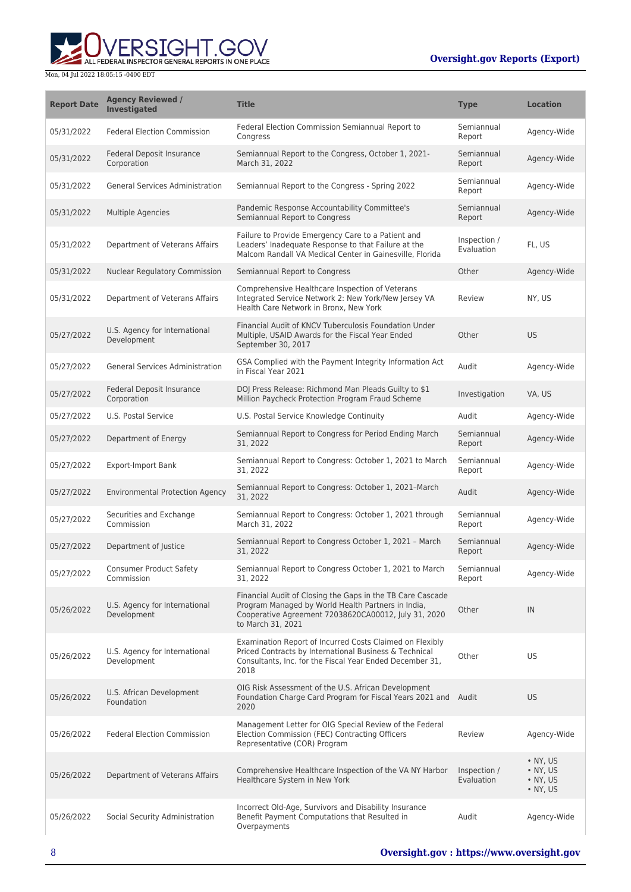

| <b>Report Date</b> | <b>Agency Reviewed /</b><br><b>Investigated</b> | <b>Title</b>                                                                                                                                                                                  | <b>Type</b>                | <b>Location</b>                                                      |
|--------------------|-------------------------------------------------|-----------------------------------------------------------------------------------------------------------------------------------------------------------------------------------------------|----------------------------|----------------------------------------------------------------------|
| 05/31/2022         | <b>Federal Election Commission</b>              | Federal Election Commission Semiannual Report to<br>Congress                                                                                                                                  | Semiannual<br>Report       | Agency-Wide                                                          |
| 05/31/2022         | <b>Federal Deposit Insurance</b><br>Corporation | Semiannual Report to the Congress, October 1, 2021-<br>March 31, 2022                                                                                                                         | Semiannual<br>Report       | Agency-Wide                                                          |
| 05/31/2022         | <b>General Services Administration</b>          | Semiannual Report to the Congress - Spring 2022                                                                                                                                               | Semiannual<br>Report       | Agency-Wide                                                          |
| 05/31/2022         | Multiple Agencies                               | Pandemic Response Accountability Committee's<br>Semiannual Report to Congress                                                                                                                 | Semiannual<br>Report       | Agency-Wide                                                          |
| 05/31/2022         | Department of Veterans Affairs                  | Failure to Provide Emergency Care to a Patient and<br>Leaders' Inadequate Response to that Failure at the<br>Malcom Randall VA Medical Center in Gainesville, Florida                         | Inspection /<br>Evaluation | FL, US                                                               |
| 05/31/2022         | <b>Nuclear Regulatory Commission</b>            | Semiannual Report to Congress                                                                                                                                                                 | Other                      | Agency-Wide                                                          |
| 05/31/2022         | Department of Veterans Affairs                  | Comprehensive Healthcare Inspection of Veterans<br>Integrated Service Network 2: New York/New Jersey VA<br>Health Care Network in Bronx, New York                                             | Review                     | NY, US                                                               |
| 05/27/2022         | U.S. Agency for International<br>Development    | Financial Audit of KNCV Tuberculosis Foundation Under<br>Multiple, USAID Awards for the Fiscal Year Ended<br>September 30, 2017                                                               | Other                      | <b>US</b>                                                            |
| 05/27/2022         | <b>General Services Administration</b>          | GSA Complied with the Payment Integrity Information Act<br>in Fiscal Year 2021                                                                                                                | Audit                      | Agency-Wide                                                          |
| 05/27/2022         | Federal Deposit Insurance<br>Corporation        | DOJ Press Release: Richmond Man Pleads Guilty to \$1<br>Million Paycheck Protection Program Fraud Scheme                                                                                      | Investigation              | VA, US                                                               |
| 05/27/2022         | U.S. Postal Service                             | U.S. Postal Service Knowledge Continuity                                                                                                                                                      | Audit                      | Agency-Wide                                                          |
| 05/27/2022         | Department of Energy                            | Semiannual Report to Congress for Period Ending March<br>31, 2022                                                                                                                             | Semiannual<br>Report       | Agency-Wide                                                          |
| 05/27/2022         | <b>Export-Import Bank</b>                       | Semiannual Report to Congress: October 1, 2021 to March<br>31, 2022                                                                                                                           | Semiannual<br>Report       | Agency-Wide                                                          |
| 05/27/2022         | <b>Environmental Protection Agency</b>          | Semiannual Report to Congress: October 1, 2021-March<br>31, 2022                                                                                                                              | Audit                      | Agency-Wide                                                          |
| 05/27/2022         | Securities and Exchange<br>Commission           | Semiannual Report to Congress: October 1, 2021 through<br>March 31, 2022                                                                                                                      | Semiannual<br>Report       | Agency-Wide                                                          |
| 05/27/2022         | Department of Justice                           | Semiannual Report to Congress October 1, 2021 - March<br>31, 2022                                                                                                                             | Semiannual<br>Report       | Agency-Wide                                                          |
| 05/27/2022         | <b>Consumer Product Safety</b><br>Commission    | Semiannual Report to Congress October 1, 2021 to March<br>31, 2022                                                                                                                            | Semiannual<br>Report       | Agency-Wide                                                          |
| 05/26/2022         | U.S. Agency for International<br>Development    | Financial Audit of Closing the Gaps in the TB Care Cascade<br>Program Managed by World Health Partners in India,<br>Cooperative Agreement 72038620CA00012, July 31, 2020<br>to March 31, 2021 | Other                      | IN                                                                   |
| 05/26/2022         | U.S. Agency for International<br>Development    | Examination Report of Incurred Costs Claimed on Flexibly<br>Priced Contracts by International Business & Technical<br>Consultants, Inc. for the Fiscal Year Ended December 31,<br>2018        | Other                      | US                                                                   |
| 05/26/2022         | U.S. African Development<br>Foundation          | OIG Risk Assessment of the U.S. African Development<br>Foundation Charge Card Program for Fiscal Years 2021 and Audit<br>2020                                                                 |                            | <b>US</b>                                                            |
| 05/26/2022         | <b>Federal Election Commission</b>              | Management Letter for OIG Special Review of the Federal<br>Election Commission (FEC) Contracting Officers<br>Representative (COR) Program                                                     | Review                     | Agency-Wide                                                          |
| 05/26/2022         | Department of Veterans Affairs                  | Comprehensive Healthcare Inspection of the VA NY Harbor<br>Healthcare System in New York                                                                                                      | Inspection /<br>Evaluation | $\bullet$ NY, US<br>• NY, US<br>$\bullet$ NY, US<br>$\bullet$ NY, US |
| 05/26/2022         | Social Security Administration                  | Incorrect Old-Age, Survivors and Disability Insurance<br>Benefit Payment Computations that Resulted in<br>Overpayments                                                                        | Audit                      | Agency-Wide                                                          |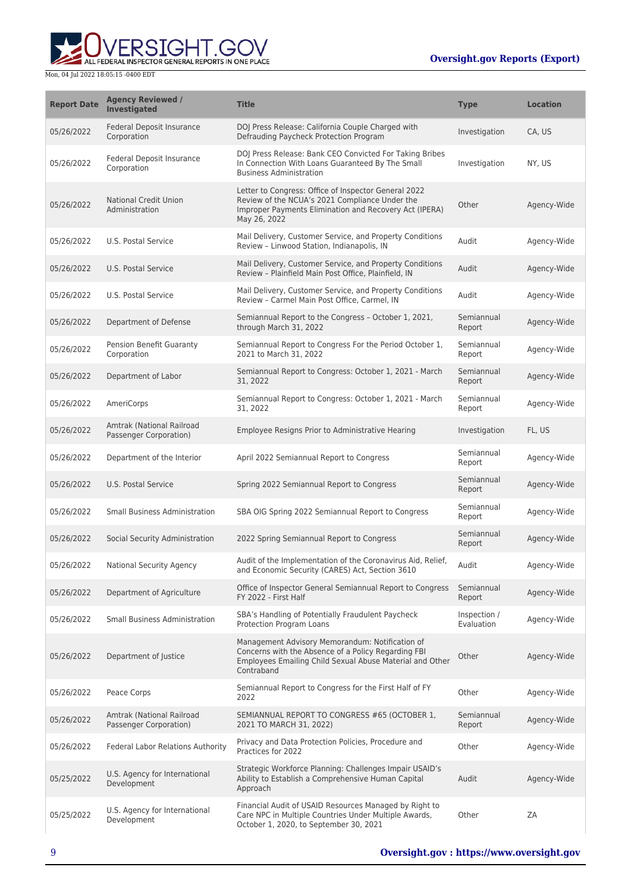

| <b>Report Date</b> | <b>Agency Reviewed /</b><br><b>Investigated</b>     | <b>Title</b>                                                                                                                                                                     | <b>Type</b>                | <b>Location</b> |
|--------------------|-----------------------------------------------------|----------------------------------------------------------------------------------------------------------------------------------------------------------------------------------|----------------------------|-----------------|
| 05/26/2022         | <b>Federal Deposit Insurance</b><br>Corporation     | DOJ Press Release: California Couple Charged with<br>Defrauding Paycheck Protection Program                                                                                      | Investigation              | CA, US          |
| 05/26/2022         | Federal Deposit Insurance<br>Corporation            | DOJ Press Release: Bank CEO Convicted For Taking Bribes<br>In Connection With Loans Guaranteed By The Small<br><b>Business Administration</b>                                    | Investigation              | NY, US          |
| 05/26/2022         | <b>National Credit Union</b><br>Administration      | Letter to Congress: Office of Inspector General 2022<br>Review of the NCUA's 2021 Compliance Under the<br>Improper Payments Elimination and Recovery Act (IPERA)<br>May 26, 2022 | Other                      | Agency-Wide     |
| 05/26/2022         | U.S. Postal Service                                 | Mail Delivery, Customer Service, and Property Conditions<br>Review - Linwood Station, Indianapolis, IN                                                                           | Audit                      | Agency-Wide     |
| 05/26/2022         | U.S. Postal Service                                 | Mail Delivery, Customer Service, and Property Conditions<br>Review - Plainfield Main Post Office, Plainfield, IN                                                                 | Audit                      | Agency-Wide     |
| 05/26/2022         | U.S. Postal Service                                 | Mail Delivery, Customer Service, and Property Conditions<br>Review - Carmel Main Post Office, Carmel, IN                                                                         | Audit                      | Agency-Wide     |
| 05/26/2022         | Department of Defense                               | Semiannual Report to the Congress - October 1, 2021,<br>through March 31, 2022                                                                                                   | Semiannual<br>Report       | Agency-Wide     |
| 05/26/2022         | Pension Benefit Guaranty<br>Corporation             | Semiannual Report to Congress For the Period October 1,<br>2021 to March 31, 2022                                                                                                | Semiannual<br>Report       | Agency-Wide     |
| 05/26/2022         | Department of Labor                                 | Semiannual Report to Congress: October 1, 2021 - March<br>31, 2022                                                                                                               | Semiannual<br>Report       | Agency-Wide     |
| 05/26/2022         | AmeriCorps                                          | Semiannual Report to Congress: October 1, 2021 - March<br>31, 2022                                                                                                               | Semiannual<br>Report       | Agency-Wide     |
| 05/26/2022         | Amtrak (National Railroad<br>Passenger Corporation) | Employee Resigns Prior to Administrative Hearing                                                                                                                                 | Investigation              | FL, US          |
| 05/26/2022         | Department of the Interior                          | April 2022 Semiannual Report to Congress                                                                                                                                         | Semiannual<br>Report       | Agency-Wide     |
| 05/26/2022         | U.S. Postal Service                                 | Spring 2022 Semiannual Report to Congress                                                                                                                                        | Semiannual<br>Report       | Agency-Wide     |
| 05/26/2022         | <b>Small Business Administration</b>                | SBA OIG Spring 2022 Semiannual Report to Congress                                                                                                                                | Semiannual<br>Report       | Agency-Wide     |
| 05/26/2022         | Social Security Administration                      | 2022 Spring Semiannual Report to Congress                                                                                                                                        | Semiannual<br>Report       | Agency-Wide     |
| 05/26/2022         | National Security Agency                            | Audit of the Implementation of the Coronavirus Aid, Relief,<br>and Economic Security (CARES) Act, Section 3610                                                                   | Audit                      | Agency-Wide     |
| 05/26/2022         | Department of Agriculture                           | Office of Inspector General Semiannual Report to Congress<br>FY 2022 - First Half                                                                                                | Semiannual<br>Report       | Agency-Wide     |
| 05/26/2022         | <b>Small Business Administration</b>                | SBA's Handling of Potentially Fraudulent Paycheck<br>Protection Program Loans                                                                                                    | Inspection /<br>Evaluation | Agency-Wide     |
| 05/26/2022         | Department of Justice                               | Management Advisory Memorandum: Notification of<br>Concerns with the Absence of a Policy Regarding FBI<br>Employees Emailing Child Sexual Abuse Material and Other<br>Contraband | Other                      | Agency-Wide     |
| 05/26/2022         | Peace Corps                                         | Semiannual Report to Congress for the First Half of FY<br>2022                                                                                                                   | Other                      | Agency-Wide     |
| 05/26/2022         | Amtrak (National Railroad<br>Passenger Corporation) | SEMIANNUAL REPORT TO CONGRESS #65 (OCTOBER 1,<br>2021 TO MARCH 31, 2022)                                                                                                         | Semiannual<br>Report       | Agency-Wide     |
| 05/26/2022         | <b>Federal Labor Relations Authority</b>            | Privacy and Data Protection Policies, Procedure and<br>Practices for 2022                                                                                                        | Other                      | Agency-Wide     |
| 05/25/2022         | U.S. Agency for International<br>Development        | Strategic Workforce Planning: Challenges Impair USAID's<br>Ability to Establish a Comprehensive Human Capital<br>Approach                                                        | Audit                      | Agency-Wide     |
| 05/25/2022         | U.S. Agency for International<br>Development        | Financial Audit of USAID Resources Managed by Right to<br>Care NPC in Multiple Countries Under Multiple Awards,<br>October 1, 2020, to September 30, 2021                        | Other                      | ZΑ              |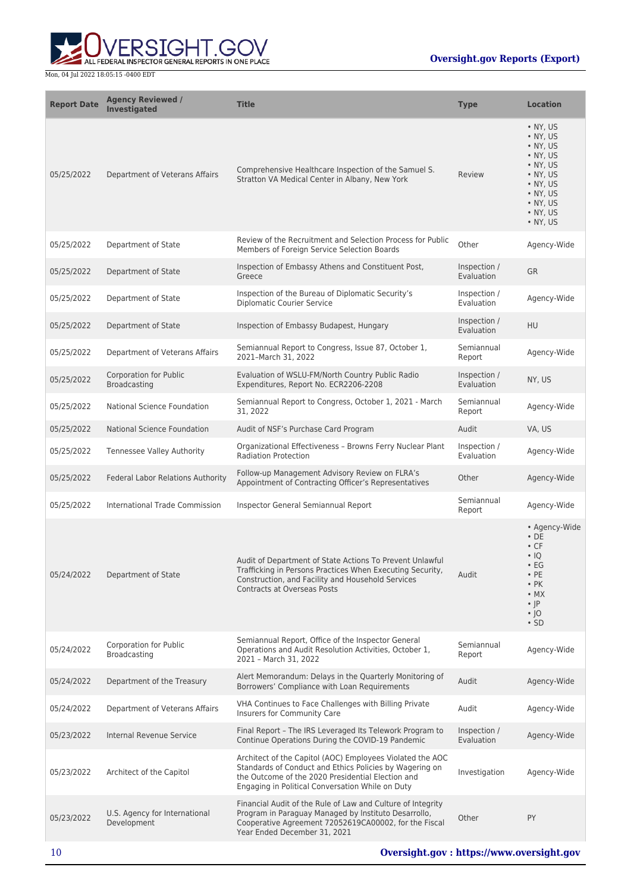

| <b>Report Date</b> | <b>Agency Reviewed /</b><br><b>Investigated</b>      | <b>Title</b>                                                                                                                                                                                                                  | <b>Type</b>                | <b>Location</b>                                                                                                                                             |
|--------------------|------------------------------------------------------|-------------------------------------------------------------------------------------------------------------------------------------------------------------------------------------------------------------------------------|----------------------------|-------------------------------------------------------------------------------------------------------------------------------------------------------------|
| 05/25/2022         | Department of Veterans Affairs                       | Comprehensive Healthcare Inspection of the Samuel S.<br>Stratton VA Medical Center in Albany, New York                                                                                                                        | Review                     | • NY, US<br>$\bullet$ NY, US<br>• NY, US<br>• NY, US<br>• NY, US<br>$\bullet$ NY, US<br>• NY, US<br>• NY, US<br>• NY. US<br>• NY, US<br>• NY, US            |
| 05/25/2022         | Department of State                                  | Review of the Recruitment and Selection Process for Public<br>Members of Foreign Service Selection Boards                                                                                                                     | Other                      | Agency-Wide                                                                                                                                                 |
| 05/25/2022         | Department of State                                  | Inspection of Embassy Athens and Constituent Post,<br>Greece                                                                                                                                                                  | Inspection /<br>Evaluation | <b>GR</b>                                                                                                                                                   |
| 05/25/2022         | Department of State                                  | Inspection of the Bureau of Diplomatic Security's<br><b>Diplomatic Courier Service</b>                                                                                                                                        | Inspection /<br>Evaluation | Agency-Wide                                                                                                                                                 |
| 05/25/2022         | Department of State                                  | Inspection of Embassy Budapest, Hungary                                                                                                                                                                                       | Inspection /<br>Evaluation | <b>HU</b>                                                                                                                                                   |
| 05/25/2022         | Department of Veterans Affairs                       | Semiannual Report to Congress, Issue 87, October 1,<br>2021-March 31, 2022                                                                                                                                                    | Semiannual<br>Report       | Agency-Wide                                                                                                                                                 |
| 05/25/2022         | <b>Corporation for Public</b><br>Broadcasting        | Evaluation of WSLU-FM/North Country Public Radio<br>Expenditures, Report No. ECR2206-2208                                                                                                                                     | Inspection /<br>Evaluation | NY, US                                                                                                                                                      |
| 05/25/2022         | National Science Foundation                          | Semiannual Report to Congress, October 1, 2021 - March<br>31, 2022                                                                                                                                                            | Semiannual<br>Report       | Agency-Wide                                                                                                                                                 |
| 05/25/2022         | <b>National Science Foundation</b>                   | Audit of NSF's Purchase Card Program                                                                                                                                                                                          | Audit                      | VA, US                                                                                                                                                      |
| 05/25/2022         | Tennessee Valley Authority                           | Organizational Effectiveness - Browns Ferry Nuclear Plant<br><b>Radiation Protection</b>                                                                                                                                      | Inspection /<br>Evaluation | Agency-Wide                                                                                                                                                 |
| 05/25/2022         | Federal Labor Relations Authority                    | Follow-up Management Advisory Review on FLRA's<br>Appointment of Contracting Officer's Representatives                                                                                                                        | Other                      | Agency-Wide                                                                                                                                                 |
| 05/25/2022         | International Trade Commission                       | Inspector General Semiannual Report                                                                                                                                                                                           | Semiannual<br>Report       | Agency-Wide                                                                                                                                                 |
| 05/24/2022         | Department of State                                  | Audit of Department of State Actions To Prevent Unlawful<br>Trafficking in Persons Practices When Executing Security,<br>Construction, and Facility and Household Services<br><b>Contracts at Overseas Posts</b>              | Audit                      | • Agency-Wide<br>$\cdot$ DE<br>$\cdot$ CF<br>$\cdot$ IQ<br>$\cdot$ EG<br>$\cdot$ PE<br>$\cdot$ PK<br>$\bullet$ MX<br>$\cdot$  P<br>$\cdot$  O<br>$\cdot$ SD |
| 05/24/2022         | <b>Corporation for Public</b><br><b>Broadcasting</b> | Semiannual Report, Office of the Inspector General<br>Operations and Audit Resolution Activities, October 1,<br>2021 - March 31, 2022                                                                                         | Semiannual<br>Report       | Agency-Wide                                                                                                                                                 |
| 05/24/2022         | Department of the Treasury                           | Alert Memorandum: Delays in the Quarterly Monitoring of<br>Borrowers' Compliance with Loan Requirements                                                                                                                       | Audit                      | Agency-Wide                                                                                                                                                 |
| 05/24/2022         | Department of Veterans Affairs                       | VHA Continues to Face Challenges with Billing Private<br>Insurers for Community Care                                                                                                                                          | Audit                      | Agency-Wide                                                                                                                                                 |
| 05/23/2022         | Internal Revenue Service                             | Final Report - The IRS Leveraged Its Telework Program to<br>Continue Operations During the COVID-19 Pandemic                                                                                                                  | Inspection /<br>Evaluation | Agency-Wide                                                                                                                                                 |
| 05/23/2022         | Architect of the Capitol                             | Architect of the Capitol (AOC) Employees Violated the AOC<br>Standards of Conduct and Ethics Policies by Wagering on<br>the Outcome of the 2020 Presidential Election and<br>Engaging in Political Conversation While on Duty | Investigation              | Agency-Wide                                                                                                                                                 |
| 05/23/2022         | U.S. Agency for International<br>Development         | Financial Audit of the Rule of Law and Culture of Integrity<br>Program in Paraguay Managed by Instituto Desarrollo,<br>Cooperative Agreement 72052619CA00002, for the Fiscal<br>Year Ended December 31, 2021                  | Other                      | PY                                                                                                                                                          |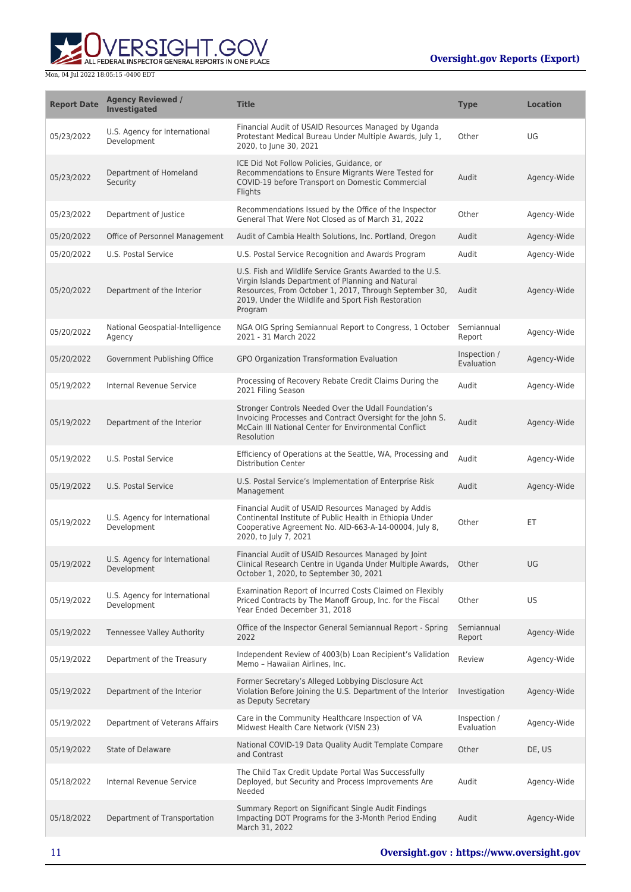

| <b>Report Date</b> | <b>Agency Reviewed /</b><br>Investigated     | <b>Title</b>                                                                                                                                                                                                                               | Type                       | <b>Location</b> |
|--------------------|----------------------------------------------|--------------------------------------------------------------------------------------------------------------------------------------------------------------------------------------------------------------------------------------------|----------------------------|-----------------|
| 05/23/2022         | U.S. Agency for International<br>Development | Financial Audit of USAID Resources Managed by Uganda<br>Protestant Medical Bureau Under Multiple Awards, July 1,<br>2020, to June 30, 2021                                                                                                 | Other                      | UG              |
| 05/23/2022         | Department of Homeland<br>Security           | ICE Did Not Follow Policies, Guidance, or<br>Recommendations to Ensure Migrants Were Tested for<br>COVID-19 before Transport on Domestic Commercial<br>Flights                                                                             | Audit                      | Agency-Wide     |
| 05/23/2022         | Department of Justice                        | Recommendations Issued by the Office of the Inspector<br>General That Were Not Closed as of March 31, 2022                                                                                                                                 | Other                      | Agency-Wide     |
| 05/20/2022         | Office of Personnel Management               | Audit of Cambia Health Solutions, Inc. Portland, Oregon                                                                                                                                                                                    | Audit                      | Agency-Wide     |
| 05/20/2022         | U.S. Postal Service                          | U.S. Postal Service Recognition and Awards Program                                                                                                                                                                                         | Audit                      | Agency-Wide     |
| 05/20/2022         | Department of the Interior                   | U.S. Fish and Wildlife Service Grants Awarded to the U.S.<br>Virgin Islands Department of Planning and Natural<br>Resources, From October 1, 2017, Through September 30,<br>2019, Under the Wildlife and Sport Fish Restoration<br>Program | Audit                      | Agency-Wide     |
| 05/20/2022         | National Geospatial-Intelligence<br>Agency   | NGA OIG Spring Semiannual Report to Congress, 1 October<br>2021 - 31 March 2022                                                                                                                                                            | Semiannual<br>Report       | Agency-Wide     |
| 05/20/2022         | Government Publishing Office                 | GPO Organization Transformation Evaluation                                                                                                                                                                                                 | Inspection /<br>Evaluation | Agency-Wide     |
| 05/19/2022         | Internal Revenue Service                     | Processing of Recovery Rebate Credit Claims During the<br>2021 Filing Season                                                                                                                                                               | Audit                      | Agency-Wide     |
| 05/19/2022         | Department of the Interior                   | Stronger Controls Needed Over the Udall Foundation's<br>Invoicing Processes and Contract Oversight for the John S.<br>McCain III National Center for Environmental Conflict<br>Resolution                                                  | Audit                      | Agency-Wide     |
| 05/19/2022         | U.S. Postal Service                          | Efficiency of Operations at the Seattle, WA, Processing and<br><b>Distribution Center</b>                                                                                                                                                  | Audit                      | Agency-Wide     |
| 05/19/2022         | U.S. Postal Service                          | U.S. Postal Service's Implementation of Enterprise Risk<br>Management                                                                                                                                                                      | Audit                      | Agency-Wide     |
| 05/19/2022         | U.S. Agency for International<br>Development | Financial Audit of USAID Resources Managed by Addis<br>Continental Institute of Public Health in Ethiopia Under<br>Cooperative Agreement No. AID-663-A-14-00004, July 8,<br>2020, to July 7, 2021                                          | Other                      | ЕT              |
| 05/19/2022         | U.S. Agency for International<br>Development | Financial Audit of USAID Resources Managed by Joint<br>Clinical Research Centre in Uganda Under Multiple Awards, Other<br>October 1, 2020, to September 30, 2021                                                                           |                            | UG              |
| 05/19/2022         | U.S. Agency for International<br>Development | Examination Report of Incurred Costs Claimed on Flexibly<br>Priced Contracts by The Manoff Group, Inc. for the Fiscal<br>Year Ended December 31, 2018                                                                                      | Other                      | US              |
| 05/19/2022         | Tennessee Valley Authority                   | Office of the Inspector General Semiannual Report - Spring<br>2022                                                                                                                                                                         | Semiannual<br>Report       | Agency-Wide     |
| 05/19/2022         | Department of the Treasury                   | Independent Review of 4003(b) Loan Recipient's Validation<br>Memo - Hawaiian Airlines, Inc.                                                                                                                                                | Review                     | Agency-Wide     |
| 05/19/2022         | Department of the Interior                   | Former Secretary's Alleged Lobbying Disclosure Act<br>Violation Before Joining the U.S. Department of the Interior<br>as Deputy Secretary                                                                                                  | Investigation              | Agency-Wide     |
| 05/19/2022         | Department of Veterans Affairs               | Care in the Community Healthcare Inspection of VA<br>Midwest Health Care Network (VISN 23)                                                                                                                                                 | Inspection /<br>Evaluation | Agency-Wide     |
| 05/19/2022         | <b>State of Delaware</b>                     | National COVID-19 Data Quality Audit Template Compare<br>and Contrast                                                                                                                                                                      | Other                      | DE, US          |
| 05/18/2022         | Internal Revenue Service                     | The Child Tax Credit Update Portal Was Successfully<br>Deployed, but Security and Process Improvements Are<br>Needed                                                                                                                       | Audit                      | Agency-Wide     |
| 05/18/2022         | Department of Transportation                 | Summary Report on Significant Single Audit Findings<br>Impacting DOT Programs for the 3-Month Period Ending<br>March 31, 2022                                                                                                              | Audit                      | Agency-Wide     |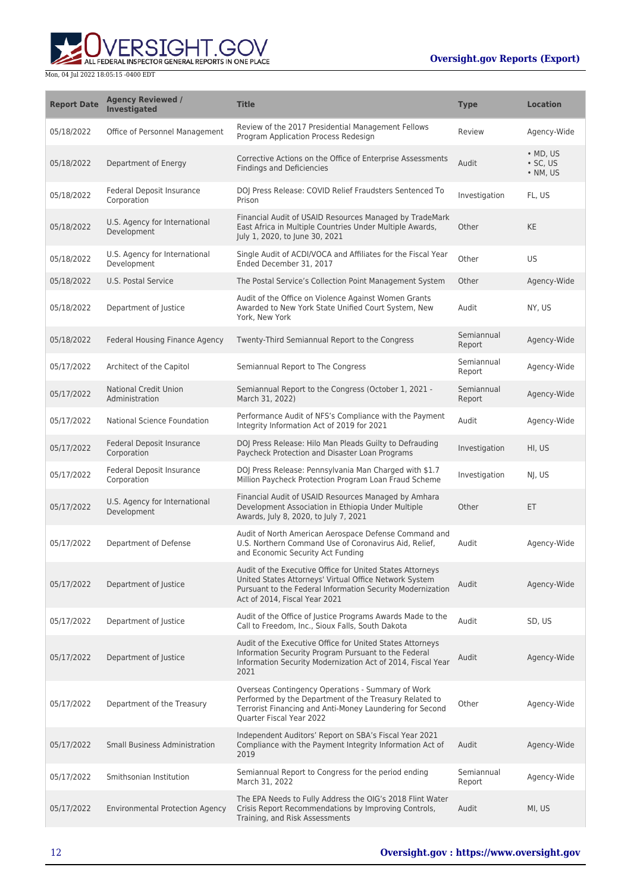ERSIGHT.GOV ALL FEDERAL INSPECTOR GENERAL REPORTS IN ONE PLACE

| <b>Report Date</b> | <b>Agency Reviewed /</b><br><b>Investigated</b> | <b>Title</b>                                                                                                                                                                                                       | Type                 | <b>Location</b>                          |
|--------------------|-------------------------------------------------|--------------------------------------------------------------------------------------------------------------------------------------------------------------------------------------------------------------------|----------------------|------------------------------------------|
| 05/18/2022         | Office of Personnel Management                  | Review of the 2017 Presidential Management Fellows<br>Program Application Process Redesign                                                                                                                         | Review               | Agency-Wide                              |
| 05/18/2022         | Department of Energy                            | Corrective Actions on the Office of Enterprise Assessments<br><b>Findings and Deficiencies</b>                                                                                                                     | Audit                | $·$ MD, US<br>$\cdot$ SC, US<br>• NM, US |
| 05/18/2022         | Federal Deposit Insurance<br>Corporation        | DOJ Press Release: COVID Relief Fraudsters Sentenced To<br>Prison                                                                                                                                                  | Investigation        | FL, US                                   |
| 05/18/2022         | U.S. Agency for International<br>Development    | Financial Audit of USAID Resources Managed by TradeMark<br>East Africa in Multiple Countries Under Multiple Awards,<br>July 1, 2020, to June 30, 2021                                                              | Other                | KE                                       |
| 05/18/2022         | U.S. Agency for International<br>Development    | Single Audit of ACDI/VOCA and Affiliates for the Fiscal Year<br>Ended December 31, 2017                                                                                                                            | Other                | US                                       |
| 05/18/2022         | <b>U.S. Postal Service</b>                      | The Postal Service's Collection Point Management System                                                                                                                                                            | Other                | Agency-Wide                              |
| 05/18/2022         | Department of Justice                           | Audit of the Office on Violence Against Women Grants<br>Awarded to New York State Unified Court System, New<br>York, New York                                                                                      | Audit                | NY, US                                   |
| 05/18/2022         | Federal Housing Finance Agency                  | Twenty-Third Semiannual Report to the Congress                                                                                                                                                                     | Semiannual<br>Report | Agency-Wide                              |
| 05/17/2022         | Architect of the Capitol                        | Semiannual Report to The Congress                                                                                                                                                                                  | Semiannual<br>Report | Agency-Wide                              |
| 05/17/2022         | <b>National Credit Union</b><br>Administration  | Semiannual Report to the Congress (October 1, 2021 -<br>March 31, 2022)                                                                                                                                            | Semiannual<br>Report | Agency-Wide                              |
| 05/17/2022         | National Science Foundation                     | Performance Audit of NFS's Compliance with the Payment<br>Integrity Information Act of 2019 for 2021                                                                                                               | Audit                | Agency-Wide                              |
| 05/17/2022         | Federal Deposit Insurance<br>Corporation        | DOJ Press Release: Hilo Man Pleads Guilty to Defrauding<br>Paycheck Protection and Disaster Loan Programs                                                                                                          | Investigation        | HI, US                                   |
| 05/17/2022         | Federal Deposit Insurance<br>Corporation        | DOJ Press Release: Pennsylvania Man Charged with \$1.7<br>Million Paycheck Protection Program Loan Fraud Scheme                                                                                                    | Investigation        | NJ, US                                   |
| 05/17/2022         | U.S. Agency for International<br>Development    | Financial Audit of USAID Resources Managed by Amhara<br>Development Association in Ethiopia Under Multiple<br>Awards, July 8, 2020, to July 7, 2021                                                                | Other                | ET                                       |
| 05/17/2022         | Department of Defense                           | Audit of North American Aerospace Defense Command and<br>U.S. Northern Command Use of Coronavirus Aid, Relief,<br>and Economic Security Act Funding                                                                | Audit                | Agency-Wide                              |
| 05/17/2022         | Department of Justice                           | Audit of the Executive Office for United States Attorneys<br>United States Attorneys' Virtual Office Network System<br>Pursuant to the Federal Information Security Modernization<br>Act of 2014. Fiscal Year 2021 | Audit                | Agency-Wide                              |
| 05/17/2022         | Department of Justice                           | Audit of the Office of Justice Programs Awards Made to the<br>Call to Freedom, Inc., Sioux Falls, South Dakota                                                                                                     | Audit                | SD, US                                   |
| 05/17/2022         | Department of Justice                           | Audit of the Executive Office for United States Attorneys<br>Information Security Program Pursuant to the Federal<br>Information Security Modernization Act of 2014, Fiscal Year<br>2021                           | Audit                | Agency-Wide                              |
| 05/17/2022         | Department of the Treasury                      | Overseas Contingency Operations - Summary of Work<br>Performed by the Department of the Treasury Related to<br>Terrorist Financing and Anti-Money Laundering for Second<br>Quarter Fiscal Year 2022                | Other                | Agency-Wide                              |
| 05/17/2022         | <b>Small Business Administration</b>            | Independent Auditors' Report on SBA's Fiscal Year 2021<br>Compliance with the Payment Integrity Information Act of<br>2019                                                                                         | Audit                | Agency-Wide                              |
| 05/17/2022         | Smithsonian Institution                         | Semiannual Report to Congress for the period ending<br>March 31, 2022                                                                                                                                              | Semiannual<br>Report | Agency-Wide                              |
| 05/17/2022         | <b>Environmental Protection Agency</b>          | The EPA Needs to Fully Address the OIG's 2018 Flint Water<br>Crisis Report Recommendations by Improving Controls,<br>Training, and Risk Assessments                                                                | Audit                | MI, US                                   |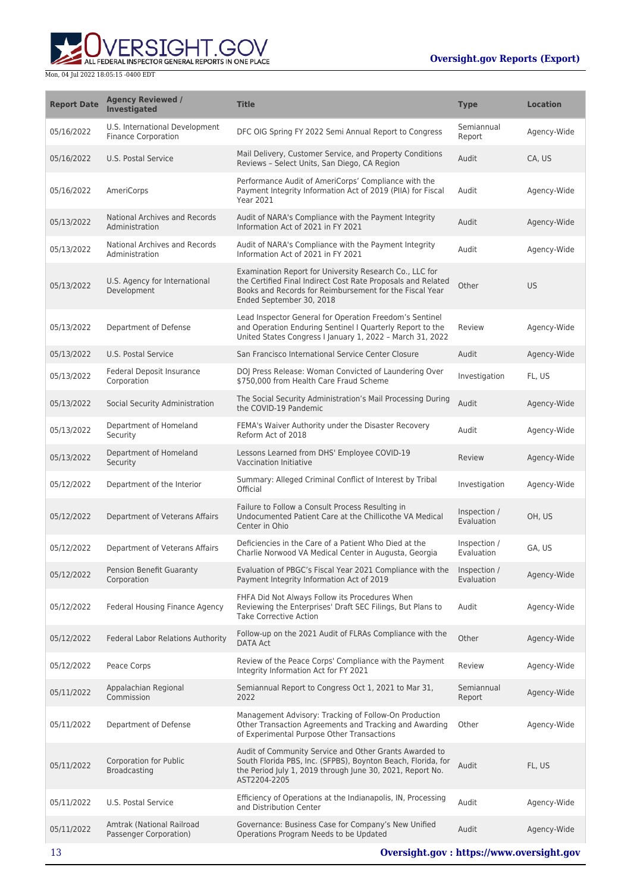

| <b>Report Date</b> | <b>Agency Reviewed /</b><br><b>Investigated</b>              | <b>Title</b>                                                                                                                                                                                                   | <b>Type</b>                | <b>Location</b> |
|--------------------|--------------------------------------------------------------|----------------------------------------------------------------------------------------------------------------------------------------------------------------------------------------------------------------|----------------------------|-----------------|
| 05/16/2022         | U.S. International Development<br><b>Finance Corporation</b> | DFC OIG Spring FY 2022 Semi Annual Report to Congress                                                                                                                                                          | Semiannual<br>Report       | Agency-Wide     |
| 05/16/2022         | U.S. Postal Service                                          | Mail Delivery, Customer Service, and Property Conditions<br>Reviews - Select Units, San Diego, CA Region                                                                                                       | Audit                      | CA, US          |
| 05/16/2022         | AmeriCorps                                                   | Performance Audit of AmeriCorps' Compliance with the<br>Payment Integrity Information Act of 2019 (PIIA) for Fiscal<br><b>Year 2021</b>                                                                        | Audit                      | Agency-Wide     |
| 05/13/2022         | <b>National Archives and Records</b><br>Administration       | Audit of NARA's Compliance with the Payment Integrity<br>Information Act of 2021 in FY 2021                                                                                                                    | Audit                      | Agency-Wide     |
| 05/13/2022         | National Archives and Records<br>Administration              | Audit of NARA's Compliance with the Payment Integrity<br>Information Act of 2021 in FY 2021                                                                                                                    | Audit                      | Agency-Wide     |
| 05/13/2022         | U.S. Agency for International<br>Development                 | Examination Report for University Research Co., LLC for<br>the Certified Final Indirect Cost Rate Proposals and Related<br>Books and Records for Reimbursement for the Fiscal Year<br>Ended September 30, 2018 | Other                      | <b>US</b>       |
| 05/13/2022         | Department of Defense                                        | Lead Inspector General for Operation Freedom's Sentinel<br>and Operation Enduring Sentinel I Quarterly Report to the<br>United States Congress I January 1, 2022 - March 31, 2022                              | Review                     | Agency-Wide     |
| 05/13/2022         | U.S. Postal Service                                          | San Francisco International Service Center Closure                                                                                                                                                             | Audit                      | Agency-Wide     |
| 05/13/2022         | <b>Federal Deposit Insurance</b><br>Corporation              | DOJ Press Release: Woman Convicted of Laundering Over<br>\$750,000 from Health Care Fraud Scheme                                                                                                               | Investigation              | FL, US          |
| 05/13/2022         | Social Security Administration                               | The Social Security Administration's Mail Processing During<br>the COVID-19 Pandemic                                                                                                                           | Audit                      | Agency-Wide     |
| 05/13/2022         | Department of Homeland<br>Security                           | FEMA's Waiver Authority under the Disaster Recovery<br>Reform Act of 2018                                                                                                                                      | Audit                      | Agency-Wide     |
| 05/13/2022         | Department of Homeland<br>Security                           | Lessons Learned from DHS' Employee COVID-19<br>Vaccination Initiative                                                                                                                                          | Review                     | Agency-Wide     |
| 05/12/2022         | Department of the Interior                                   | Summary: Alleged Criminal Conflict of Interest by Tribal<br>Official                                                                                                                                           | Investigation              | Agency-Wide     |
| 05/12/2022         | Department of Veterans Affairs                               | Failure to Follow a Consult Process Resulting in<br>Undocumented Patient Care at the Chillicothe VA Medical<br>Center in Ohio                                                                                  | Inspection /<br>Evaluation | OH, US          |
| 05/12/2022         | Department of Veterans Affairs                               | Deficiencies in the Care of a Patient Who Died at the<br>Charlie Norwood VA Medical Center in Augusta, Georgia                                                                                                 | Inspection /<br>Evaluation | GA, US          |
| 05/12/2022         | Pension Benefit Guaranty<br>Corporation                      | Evaluation of PBGC's Fiscal Year 2021 Compliance with the Inspection /<br>Payment Integrity Information Act of 2019                                                                                            | Evaluation                 | Agency-Wide     |
| 05/12/2022         | <b>Federal Housing Finance Agency</b>                        | FHFA Did Not Always Follow its Procedures When<br>Reviewing the Enterprises' Draft SEC Filings, But Plans to<br><b>Take Corrective Action</b>                                                                  | Audit                      | Agency-Wide     |
| 05/12/2022         | Federal Labor Relations Authority                            | Follow-up on the 2021 Audit of FLRAs Compliance with the<br><b>DATA Act</b>                                                                                                                                    | Other                      | Agency-Wide     |
| 05/12/2022         | Peace Corps                                                  | Review of the Peace Corps' Compliance with the Payment<br>Integrity Information Act for FY 2021                                                                                                                | Review                     | Agency-Wide     |
| 05/11/2022         | Appalachian Regional<br>Commission                           | Semiannual Report to Congress Oct 1, 2021 to Mar 31,<br>2022                                                                                                                                                   | Semiannual<br>Report       | Agency-Wide     |
| 05/11/2022         | Department of Defense                                        | Management Advisory: Tracking of Follow-On Production<br>Other Transaction Agreements and Tracking and Awarding<br>of Experimental Purpose Other Transactions                                                  | Other                      | Agency-Wide     |
| 05/11/2022         | <b>Corporation for Public</b><br><b>Broadcasting</b>         | Audit of Community Service and Other Grants Awarded to<br>South Florida PBS, Inc. (SFPBS), Boynton Beach, Florida, for<br>the Period July 1, 2019 through June 30, 2021, Report No.<br>AST2204-2205            | Audit                      | FL, US          |
| 05/11/2022         | U.S. Postal Service                                          | Efficiency of Operations at the Indianapolis, IN, Processing<br>and Distribution Center                                                                                                                        | Audit                      | Agency-Wide     |
| 05/11/2022         | Amtrak (National Railroad<br>Passenger Corporation)          | Governance: Business Case for Company's New Unified<br>Operations Program Needs to be Updated                                                                                                                  | Audit                      | Agency-Wide     |